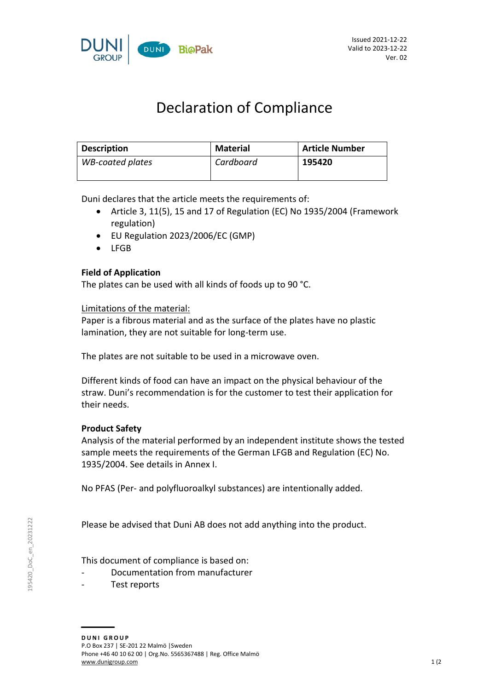

# Declaration of Compliance

| <b>Description</b>      | <b>Material</b> | <b>Article Number</b> |
|-------------------------|-----------------|-----------------------|
| <b>WB-coated plates</b> | Cardboard       | 195420                |

Duni declares that the article meets the requirements of:

- Article 3, 11(5), 15 and 17 of Regulation (EC) No 1935/2004 (Framework regulation)
- EU Regulation 2023/2006/EC (GMP)
- $\bullet$  LEGB

## **Field of Application**

The plates can be used with all kinds of foods up to 90 °C.

#### Limitations of the material:

Paper is a fibrous material and as the surface of the plates have no plastic lamination, they are not suitable for long-term use.

The plates are not suitable to be used in a microwave oven.

Different kinds of food can have an impact on the physical behaviour of the straw. Duni's recommendation is for the customer to test their application for their needs.

## **Product Safety**

Analysis of the material performed by an independent institute shows the tested sample meets the requirements of the German LFGB and Regulation (EC) No. 1935/2004. See details in Annex I.

No PFAS (Per- and polyfluoroalkyl substances) are intentionally added.

Please be advised that Duni AB does not add anything into the product.

This document of compliance is based on:

- Documentation from manufacturer
- Test reports